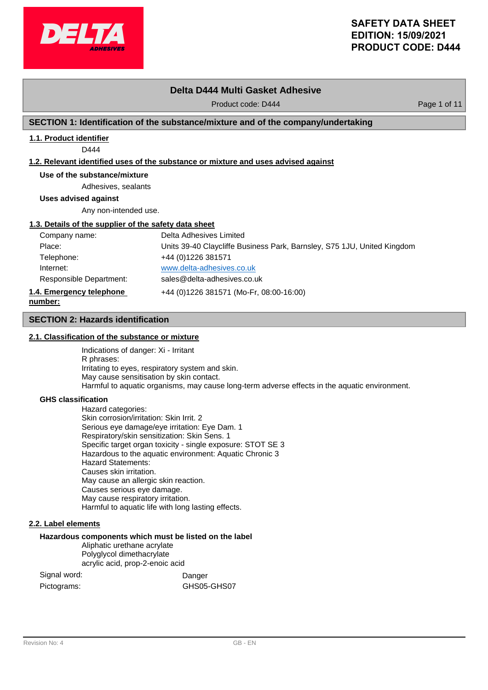

# **Delta D444 Multi Gasket Adhesive**

Product code: D444 Product code: D444 Page 1 of 11

# **SECTION 1: Identification of the substance/mixture and of the company/undertaking**

# **1.1. Product identifier**

D444

### **1.2. Relevant identified uses of the substance or mixture and uses advised against**

# **Use of the substance/mixture**

Adhesives, sealants

**Uses advised against**

Any non-intended use.

# **1.3. Details of the supplier of the safety data sheet**

| Company name:                       | Delta Adhesives Limited                                                 |
|-------------------------------------|-------------------------------------------------------------------------|
| Place:                              | Units 39-40 Claycliffe Business Park, Barnsley, S75 1JU, United Kingdom |
| Telephone:                          | +44 (0) 1226 381571                                                     |
| Internet:                           | www.delta-adhesives.co.uk                                               |
| Responsible Department:             | sales@delta-adhesives.co.uk                                             |
| 1.4. Emergency telephone<br>number: | +44 (0)1226 381571 (Mo-Fr, 08:00-16:00)                                 |

### **SECTION 2: Hazards identification**

### **2.1. Classification of the substance or mixture**

Indications of danger: Xi - Irritant R phrases: Irritating to eyes, respiratory system and skin. May cause sensitisation by skin contact. Harmful to aquatic organisms, may cause long-term adverse effects in the aquatic environment.

### **GHS classification**

Hazard categories: Skin corrosion/irritation: Skin Irrit. 2 Serious eye damage/eye irritation: Eye Dam. 1 Respiratory/skin sensitization: Skin Sens. 1 Specific target organ toxicity - single exposure: STOT SE 3 Hazardous to the aquatic environment: Aquatic Chronic 3 Hazard Statements: Causes skin irritation. May cause an allergic skin reaction. Causes serious eye damage. May cause respiratory irritation. Harmful to aquatic life with long lasting effects.

### **2.2. Label elements**

### **Hazardous components which must be listed on the label**

Aliphatic urethane acrylate Polyglycol dimethacrylate

acrylic acid, prop-2-enoic acid

| Signal word: | Danger      |
|--------------|-------------|
| Pictograms:  | GHS05-GHS07 |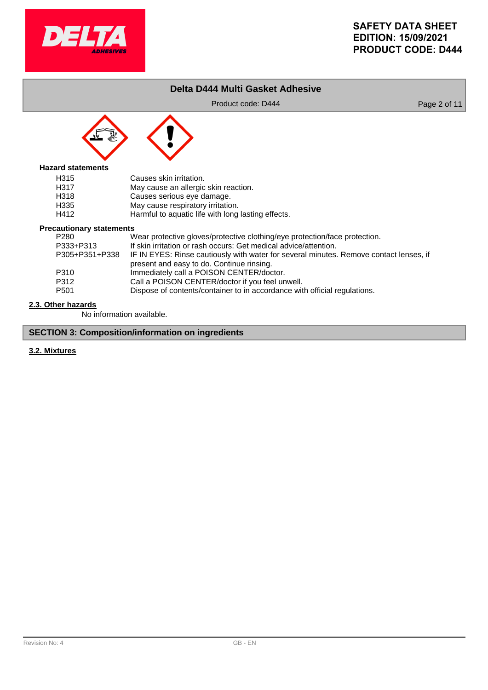

# **Delta D444 Multi Gasket Adhesive**

Product code: D444 Product code: D444 Page 2 of 11



# **Hazard statements**

| H <sub>315</sub> | Causes skin irritation.                            |
|------------------|----------------------------------------------------|
| H <sub>317</sub> | May cause an allergic skin reaction.               |
| H318             | Causes serious eye damage.                         |
| H335             | May cause respiratory irritation.                  |
| H412             | Harmful to aquatic life with long lasting effects. |

# **Precautionary statements**<br>M<br>W

| P280             | Wear protective gloves/protective clothing/eye protection/face protection.             |
|------------------|----------------------------------------------------------------------------------------|
| P333+P313        | If skin irritation or rash occurs: Get medical advice/attention.                       |
| P305+P351+P338   | IF IN EYES: Rinse cautiously with water for several minutes. Remove contact lenses, if |
|                  | present and easy to do. Continue rinsing.                                              |
| P310             | Immediately call a POISON CENTER/doctor.                                               |
| P312             | Call a POISON CENTER/doctor if you feel unwell.                                        |
| P <sub>501</sub> | Dispose of contents/container to in accordance with official regulations.              |
|                  |                                                                                        |

# **2.3. Other hazards**

No information available.

# **SECTION 3: Composition/information on ingredients**

# **3.2. Mixtures**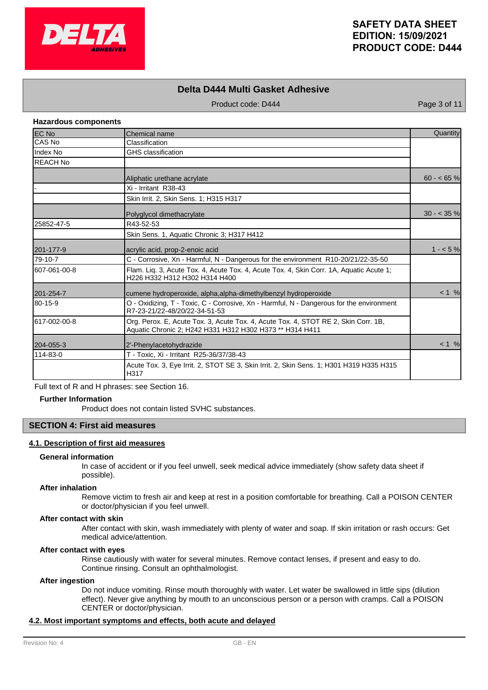

# **Delta D444 Multi Gasket Adhesive**

Product code: D444 Product code: D444 Page 3 of 11

# **Hazardous components**

| <b>EC No</b>    | Chemical name                                                                                                                                  | Quantity     |
|-----------------|------------------------------------------------------------------------------------------------------------------------------------------------|--------------|
| CAS NO          | Classification                                                                                                                                 |              |
| Index No        | <b>GHS</b> classification                                                                                                                      |              |
| <b>REACH No</b> |                                                                                                                                                |              |
|                 | Aliphatic urethane acrylate                                                                                                                    | $60 - 65%$   |
|                 | Xi - Irritant R38-43                                                                                                                           |              |
|                 | Skin Irrit. 2, Skin Sens. 1; H315 H317                                                                                                         |              |
|                 | Polyglycol dimethacrylate                                                                                                                      | $30 - 35 \%$ |
| 25852-47-5      | R43-52-53                                                                                                                                      |              |
|                 | Skin Sens. 1, Aquatic Chronic 3; H317 H412                                                                                                     |              |
| 201-177-9       | acrylic acid, prop-2-enoic acid                                                                                                                | $1 - 5\%$    |
| 79-10-7         | C - Corrosive, Xn - Harmful, N - Dangerous for the environment R10-20/21/22-35-50                                                              |              |
| 607-061-00-8    | Flam. Liq. 3, Acute Tox. 4, Acute Tox. 4, Acute Tox. 4, Skin Corr. 1A, Aquatic Acute 1;<br>H226 H332 H312 H302 H314 H400                       |              |
| 201-254-7       | cumene hydroperoxide, alpha, alpha-dimethylbenzyl hydroperoxide                                                                                | < 1 %        |
| 80-15-9         | O - Oxidizing, T - Toxic, C - Corrosive, Xn - Harmful, N - Dangerous for the environment<br>R7-23-21/22-48/20/22-34-51-53                      |              |
| 617-002-00-8    | Org. Perox. E, Acute Tox. 3, Acute Tox. 4, Acute Tox. 4, STOT RE 2, Skin Corr. 1B,<br>Aquatic Chronic 2; H242 H331 H312 H302 H373 ** H314 H411 |              |
| 204-055-3       | 2'-Phenylacetohydrazide                                                                                                                        | $< 1$ %      |
| 114-83-0        | T - Toxic, Xi - Irritant R25-36/37/38-43                                                                                                       |              |
|                 | Acute Tox. 3, Eye Irrit. 2, STOT SE 3, Skin Irrit. 2, Skin Sens. 1; H301 H319 H335 H315<br>H317                                                |              |

Full text of R and H phrases: see Section 16.

# **Further Information**

Product does not contain listed SVHC substances.

# **SECTION 4: First aid measures**

# **4.1. Description of first aid measures**

#### **General information**

In case of accident or if you feel unwell, seek medical advice immediately (show safety data sheet if possible).

### **After inhalation**

Remove victim to fresh air and keep at rest in a position comfortable for breathing. Call a POISON CENTER or doctor/physician if you feel unwell.

### **After contact with skin**

After contact with skin, wash immediately with plenty of water and soap. If skin irritation or rash occurs: Get medical advice/attention.

### **After contact with eyes**

Rinse cautiously with water for several minutes. Remove contact lenses, if present and easy to do. Continue rinsing. Consult an ophthalmologist.

#### **After ingestion**

Do not induce vomiting. Rinse mouth thoroughly with water. Let water be swallowed in little sips (dilution effect). Never give anything by mouth to an unconscious person or a person with cramps. Call a POISON CENTER or doctor/physician.

### **4.2. Most important symptoms and effects, both acute and delayed**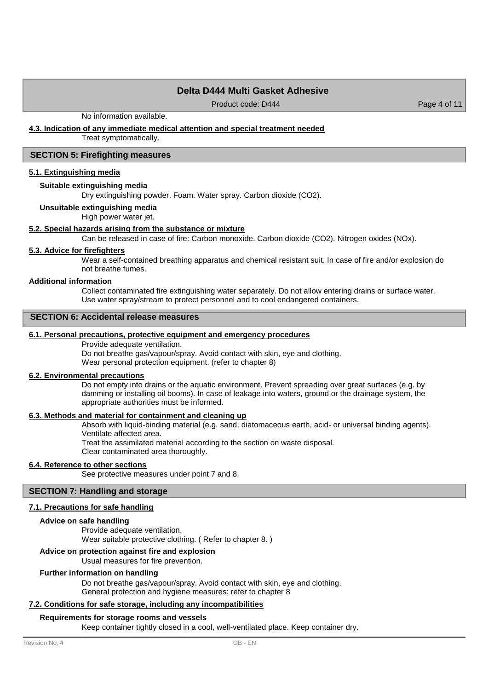# **Delta D444 Multi Gasket Adhesive**

Product code: D444 Product code: D444 Page 4 of 11

No information available.

### **4.3. Indication of any immediate medical attention and special treatment needed**

Treat symptomatically.

### **SECTION 5: Firefighting measures**

### **5.1. Extinguishing media**

#### **Suitable extinguishing media**

Dry extinguishing powder. Foam. Water spray. Carbon dioxide (CO2).

#### **Unsuitable extinguishing media**

High power water jet.

### **5.2. Special hazards arising from the substance or mixture**

Can be released in case of fire: Carbon monoxide. Carbon dioxide (CO2). Nitrogen oxides (NOx).

# **5.3. Advice for firefighters**

Wear a self-contained breathing apparatus and chemical resistant suit. In case of fire and/or explosion do not breathe fumes.

### **Additional information**

Collect contaminated fire extinguishing water separately. Do not allow entering drains or surface water. Use water spray/stream to protect personnel and to cool endangered containers.

# **SECTION 6: Accidental release measures**

#### **6.1. Personal precautions, protective equipment and emergency procedures**

Provide adequate ventilation.

Do not breathe gas/vapour/spray. Avoid contact with skin, eye and clothing. Wear personal protection equipment. (refer to chapter 8)

### **6.2. Environmental precautions**

Do not empty into drains or the aquatic environment. Prevent spreading over great surfaces (e.g. by damming or installing oil booms). In case of leakage into waters, ground or the drainage system, the appropriate authorities must be informed.

# **6.3. Methods and material for containment and cleaning up**

Absorb with liquid-binding material (e.g. sand, diatomaceous earth, acid- or universal binding agents). Ventilate affected area. Treat the assimilated material according to the section on waste disposal. Clear contaminated area thoroughly.

#### **6.4. Reference to other sections**

See protective measures under point 7 and 8.

### **SECTION 7: Handling and storage**

#### **7.1. Precautions for safe handling**

#### **Advice on safe handling**

Provide adequate ventilation. Wear suitable protective clothing. ( Refer to chapter 8. )

### **Advice on protection against fire and explosion**

Usual measures for fire prevention.

#### **Further information on handling**

Do not breathe gas/vapour/spray. Avoid contact with skin, eye and clothing. General protection and hygiene measures: refer to chapter 8

### **7.2. Conditions for safe storage, including any incompatibilities**

#### **Requirements for storage rooms and vessels**

Keep container tightly closed in a cool, well-ventilated place. Keep container dry.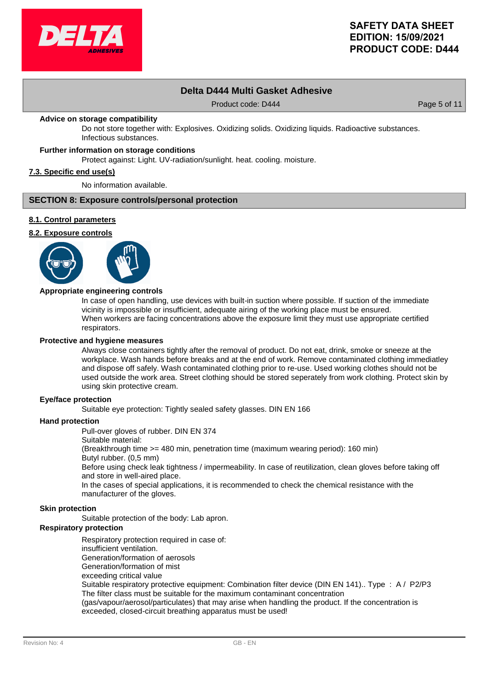

# **Delta D444 Multi Gasket Adhesive**

Product code: D444 Product code: D444 Page 5 of 11

### **Advice on storage compatibility**

Do not store together with: Explosives. Oxidizing solids. Oxidizing liquids. Radioactive substances. Infectious substances.

# **Further information on storage conditions**

Protect against: Light. UV-radiation/sunlight. heat. cooling. moisture.

### **7.3. Specific end use(s)**

No information available.

### **SECTION 8: Exposure controls/personal protection**

### **8.1. Control parameters**

# **8.2. Exposure controls**



### **Appropriate engineering controls**

In case of open handling, use devices with built-in suction where possible. If suction of the immediate vicinity is impossible or insufficient, adequate airing of the working place must be ensured. When workers are facing concentrations above the exposure limit they must use appropriate certified respirators.

#### **Protective and hygiene measures**

Always close containers tightly after the removal of product. Do not eat, drink, smoke or sneeze at the workplace. Wash hands before breaks and at the end of work. Remove contaminated clothing immediatley and dispose off safely. Wash contaminated clothing prior to re-use. Used working clothes should not be used outside the work area. Street clothing should be stored seperately from work clothing. Protect skin by using skin protective cream.

#### **Eye/face protection**

Suitable eve protection: Tightly sealed safety glasses. DIN EN 166

#### **Hand protection**

Pull-over gloves of rubber. DIN EN 374

Suitable material:

(Breakthrough time >= 480 min, penetration time (maximum wearing period): 160 min)

Butyl rubber. (0,5 mm)

Before using check leak tightness / impermeability. In case of reutilization, clean gloves before taking off and store in well-aired place.

In the cases of special applications, it is recommended to check the chemical resistance with the manufacturer of the gloves.

#### **Skin protection**

Suitable protection of the body: Lab apron.

#### **Respiratory protection**

Respiratory protection required in case of:

insufficient ventilation.

Generation/formation of aerosols

Generation/formation of mist

exceeding critical value

Suitable respiratory protective equipment: Combination filter device (DIN EN 141).. Type : A / P2/P3 The filter class must be suitable for the maximum contaminant concentration

(gas/vapour/aerosol/particulates) that may arise when handling the product. If the concentration is exceeded, closed-circuit breathing apparatus must be used!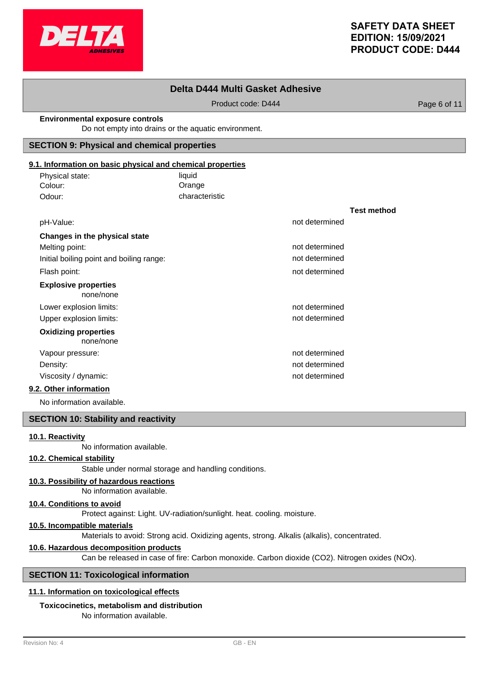

**Test method**

# **Delta D444 Multi Gasket Adhesive**

Product code: D444 Product code: D444

#### **Environmental exposure controls**

Do not empty into drains or the aquatic environment.

## **SECTION 9: Physical and chemical properties**

# **9.1. Information on basic physical and chemical properties**

| Physical state: | liquid         |
|-----------------|----------------|
| Colour:         | Orange         |
| Odour:          | characteristic |

| pH-Value:                                | not determined |
|------------------------------------------|----------------|
| Changes in the physical state            |                |
| Melting point:                           | not determined |
| Initial boiling point and boiling range: | not determined |
| Flash point:                             | not determined |
| <b>Explosive properties</b><br>none/none |                |
| Lower explosion limits:                  | not determined |
| Upper explosion limits:                  | not determined |
| <b>Oxidizing properties</b><br>none/none |                |
| Vapour pressure:                         | not determined |
| Density:                                 | not determined |
| Viscosity / dynamic:                     | not determined |
|                                          |                |

# **9.2. Other information**

No information available.

# **SECTION 10: Stability and reactivity**

# **10.1. Reactivity**

No information available.

# **10.2. Chemical stability**

Stable under normal storage and handling conditions.

# **10.3. Possibility of hazardous reactions**

No information available.

#### **10.4. Conditions to avoid**

Protect against: Light. UV-radiation/sunlight. heat. cooling. moisture.

# **10.5. Incompatible materials**

Materials to avoid: Strong acid. Oxidizing agents, strong. Alkalis (alkalis), concentrated.

### **10.6. Hazardous decomposition products**

Can be released in case of fire: Carbon monoxide. Carbon dioxide (CO2). Nitrogen oxides (NOx).

### **SECTION 11: Toxicological information**

# **11.1. Information on toxicological effects**

# **Toxicocinetics, metabolism and distribution**

No information available.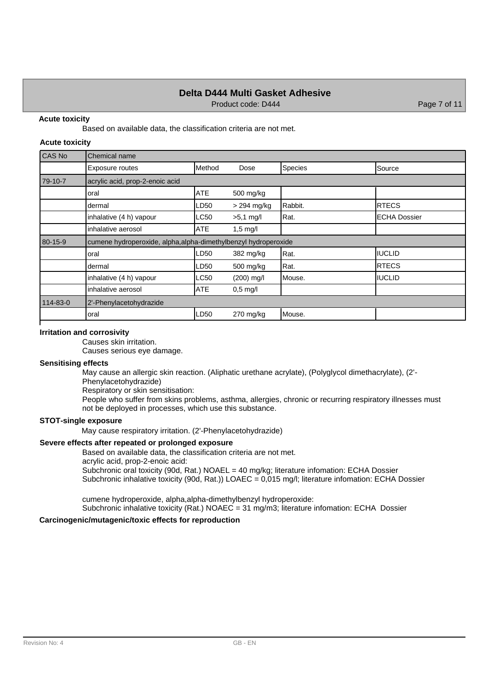# **Delta D444 Multi Gasket Adhesive**

Product code: D444 Product code: D444 Page 7 of 11

### **Acute toxicity**

Based on available data, the classification criteria are not met.

#### **Acute toxicity**

| CAS No   | Chemical name                                                   |            |               |         |                      |
|----------|-----------------------------------------------------------------|------------|---------------|---------|----------------------|
|          | Exposure routes                                                 | Method     | Dose          | Species | Source               |
| 79-10-7  | acrylic acid, prop-2-enoic acid                                 |            |               |         |                      |
|          | loral                                                           | <b>ATE</b> | 500 mg/kg     |         |                      |
|          | dermal                                                          | LD50       | $>$ 294 mg/kg | Rabbit. | IRTECS               |
|          | inhalative (4 h) vapour                                         | LC50       | $>5,1$ mg/l   | Rat.    | <b>IECHA Dossier</b> |
|          | inhalative aerosol                                              | ATE        | $1,5$ mg/l    |         |                      |
| 80-15-9  | cumene hydroperoxide, alpha, alpha-dimethylbenzyl hydroperoxide |            |               |         |                      |
|          | oral                                                            | LD50       | 382 mg/kg     | Rat.    | <b>IIUCLID</b>       |
|          | dermal                                                          | LD50       | 500 mg/kg     | Rat.    | <b>RTECS</b>         |
|          | inhalative (4 h) vapour                                         | LC50       | $(200)$ mg/l  | Mouse.  | <b>IIUCLID</b>       |
|          | inhalative aerosol                                              | <b>ATE</b> | $0,5$ mg/l    |         |                      |
| 114-83-0 | 2'-Phenylacetohydrazide                                         |            |               |         |                      |
|          | oral                                                            | LD50       | $270$ mg/kg   | Mouse.  |                      |

### **Irritation and corrosivity**

Causes skin irritation.

Causes serious eye damage.

# **Sensitising effects**

May cause an allergic skin reaction. (Aliphatic urethane acrylate), (Polyglycol dimethacrylate), (2'- Phenylacetohydrazide)

Respiratory or skin sensitisation:

People who suffer from skins problems, asthma, allergies, chronic or recurring respiratory illnesses must not be deployed in processes, which use this substance.

# **STOT-single exposure**

May cause respiratory irritation. (2'-Phenylacetohydrazide)

# **Severe effects after repeated or prolonged exposure**

Based on available data, the classification criteria are not met.

acrylic acid, prop-2-enoic acid:

Subchronic oral toxicity (90d, Rat.) NOAEL = 40 mg/kg; literature infomation: ECHA Dossier Subchronic inhalative toxicity (90d, Rat.)) LOAEC = 0,015 mg/l; literature infomation: ECHA Dossier

cumene hydroperoxide, alpha,alpha-dimethylbenzyl hydroperoxide:

Subchronic inhalative toxicity (Rat.) NOAEC = 31 mg/m3; literature infomation: ECHA Dossier

### **Carcinogenic/mutagenic/toxic effects for reproduction**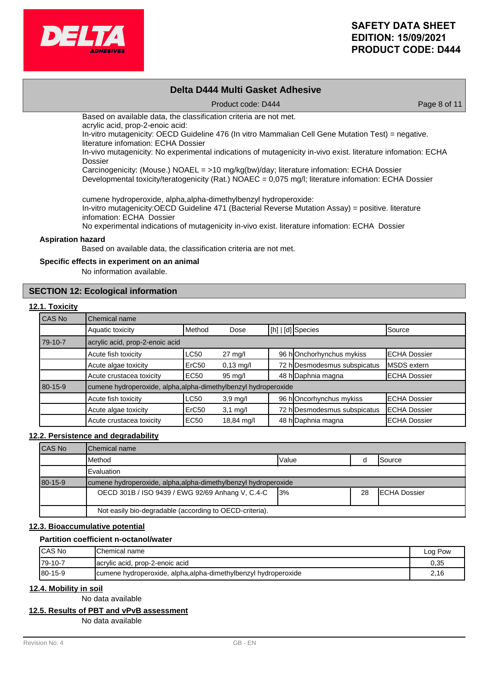

# **Delta D444 Multi Gasket Adhesive**

Product code: D444 Product code: D444 Page 8 of 11

Based on available data, the classification criteria are not met.

acrylic acid, prop-2-enoic acid:

In-vitro mutagenicity: OECD Guideline 476 (In vitro Mammalian Cell Gene Mutation Test) = negative. literature infomation: ECHA Dossier

In-vivo mutagenicity: No experimental indications of mutagenicity in-vivo exist. literature infomation: ECHA Dossier

Carcinogenicity: (Mouse.) NOAEL = >10 mg/kg(bw)/day; literature infomation: ECHA Dossier

Developmental toxicity/teratogenicity (Rat.) NOAEC = 0,075 mg/l; literature infomation: ECHA Dossier

cumene hydroperoxide, alpha,alpha-dimethylbenzyl hydroperoxide:

In-vitro mutagenicity:OECD Guideline 471 (Bacterial Reverse Mutation Assay) = positive. literature infomation: ECHA Dossier

No experimental indications of mutagenicity in-vivo exist. literature infomation: ECHA Dossier

### **Aspiration hazard**

Based on available data, the classification criteria are not met.

### **Specific effects in experiment on an animal**

No information available.

# **SECTION 12: Ecological information**

### **12.1. Toxicity**

| CAS No  | Chemical name                                                   |                   |                     |  |                              |                      |
|---------|-----------------------------------------------------------------|-------------------|---------------------|--|------------------------------|----------------------|
|         | Aquatic toxicity                                                | Method            | Dose                |  | [[h]   [d] Species           | Source               |
| 79-10-7 | acrylic acid, prop-2-enoic acid                                 |                   |                     |  |                              |                      |
|         | Acute fish toxicity                                             | <b>LC50</b>       | $27 \text{ mg/l}$   |  | 96 hOnchorhynchus mykiss     | <b>IECHA Dossier</b> |
|         | Acute algae toxicity                                            | ErC <sub>50</sub> | $0,13 \text{ mg/l}$ |  | 72 h Desmodesmus subspicatus | <b>IMSDS</b> extern  |
|         | Acute crustacea toxicity                                        | <b>EC50</b>       | 95 mg/l             |  | 48 h Daphnia magna           | <b>ECHA Dossier</b>  |
| 80-15-9 | cumene hydroperoxide, alpha, alpha-dimethylbenzyl hydroperoxide |                   |                     |  |                              |                      |
|         | Acute fish toxicity                                             | <b>LC50</b>       | $3,9$ mg/l          |  | 96 hOncorhynchus mykiss      | <b>IECHA Dossier</b> |
|         | Acute algae toxicity                                            | ErC <sub>50</sub> | $3,1$ mg/l          |  | 72 h Desmodesmus subspicatus | <b>IECHA Dossier</b> |
|         | Acute crustacea toxicity                                        | <b>EC50</b>       | 18,84 mg/l          |  | 48 h Daphnia magna           | <b>IECHA Dossier</b> |

#### **12.2. Persistence and degradability**

| <b>ICAS No</b> | <b>IChemical name</b>                                           |       |    |                      |
|----------------|-----------------------------------------------------------------|-------|----|----------------------|
|                | <b>I</b> Method                                                 | Value |    | ISource              |
|                | Evaluation                                                      |       |    |                      |
| 80-15-9        | cumene hydroperoxide, alpha, alpha-dimethylbenzyl hydroperoxide |       |    |                      |
|                | OECD 301B / ISO 9439 / EWG 92/69 Anhang V, C.4-C                | 13%   | 28 | <b>IECHA Dossier</b> |
|                | Not easily bio-degradable (according to OECD-criteria).         |       |    |                      |

# **12.3. Bioaccumulative potential**

### **Partition coefficient n-octanol/water**

| <b>ICAS No</b> | <b>I</b> Chemical name                                          | Log Pow |
|----------------|-----------------------------------------------------------------|---------|
| $179-10-7$     | acrylic acid, prop-2-enoic acid                                 | 0.35    |
| 80-15-9        | cumene hydroperoxide, alpha, alpha-dimethylbenzyl hydroperoxide | 2.16    |

### **12.4. Mobility in soil**

No data available

### **12.5. Results of PBT and vPvB assessment**

No data available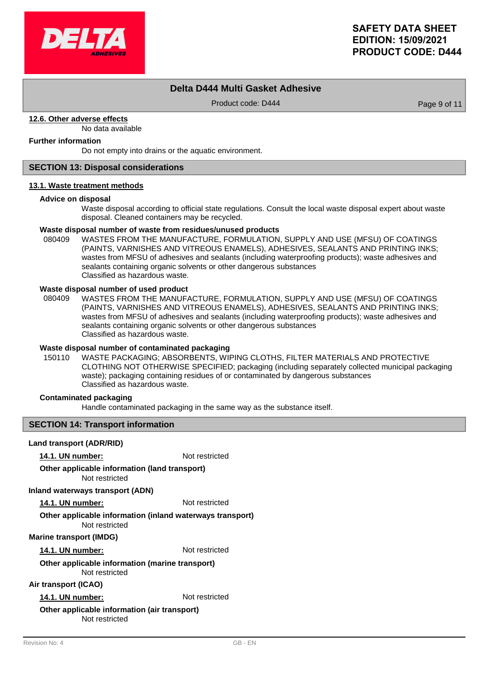

# **Delta D444 Multi Gasket Adhesive**

Product code: D444 Product code: D444 Page 9 of 11

# **12.6. Other adverse effects**

No data available

# **Further information**

Do not empty into drains or the aquatic environment.

# **SECTION 13: Disposal considerations**

### **13.1. Waste treatment methods**

### **Advice on disposal**

Waste disposal according to official state regulations. Consult the local waste disposal expert about waste disposal. Cleaned containers may be recycled.

### **Waste disposal number of waste from residues/unused products**

080409 WASTES FROM THE MANUFACTURE, FORMULATION, SUPPLY AND USE (MFSU) OF COATINGS (PAINTS, VARNISHES AND VITREOUS ENAMELS), ADHESIVES, SEALANTS AND PRINTING INKS; wastes from MFSU of adhesives and sealants (including waterproofing products); waste adhesives and sealants containing organic solvents or other dangerous substances Classified as hazardous waste.

### **Waste disposal number of used product**

WASTES FROM THE MANUFACTURE, FORMULATION, SUPPLY AND USE (MFSU) OF COATINGS (PAINTS, VARNISHES AND VITREOUS ENAMELS), ADHESIVES, SEALANTS AND PRINTING INKS; wastes from MFSU of adhesives and sealants (including waterproofing products); waste adhesives and sealants containing organic solvents or other dangerous substances Classified as hazardous waste. 080409

# **Waste disposal number of contaminated packaging**

WASTE PACKAGING; ABSORBENTS, WIPING CLOTHS, FILTER MATERIALS AND PROTECTIVE CLOTHING NOT OTHERWISE SPECIFIED; packaging (including separately collected municipal packaging waste); packaging containing residues of or contaminated by dangerous substances Classified as hazardous waste. 150110

# **Contaminated packaging**

Handle contaminated packaging in the same way as the substance itself.

### **SECTION 14: Transport information**

### **Land transport (ADR/RID)**

**14.1. UN number:** Not restricted

#### Not restricted **Other applicable information (land transport)**

### **Inland waterways transport (ADN)**

**14.1. UN number:** Not restricted

# **Other applicable information (inland waterways transport)**

Not restricted

# **Marine transport (IMDG)**

**14.1. UN number:** Not restricted

#### Not restricted **Other applicable information (marine transport)**

# **Air transport (ICAO)**

**14.1. UN number:** Not restricted

### Not restricted **Other applicable information (air transport)**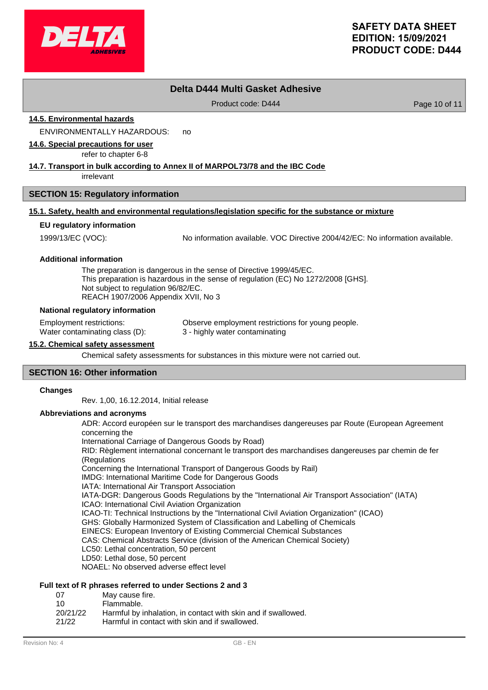

# **Delta D444 Multi Gasket Adhesive**

Product code: D444 Product code: D444 Product code: D444 Page 10 of 11

**14.5. Environmental hazards**

ENVIRONMENTALLY HAZARDOUS: no

**14.6. Special precautions for user**

refer to chapter 6-8

# **14.7. Transport in bulk according to Annex II of MARPOL73/78 and the IBC Code**

irrelevant

### **SECTION 15: Regulatory information**

# **15.1. Safety, health and environmental regulations/legislation specific for the substance or mixture**

### **EU regulatory information**

1999/13/EC (VOC): No information available. VOC Directive 2004/42/EC: No information available.

#### **Additional information**

The preparation is dangerous in the sense of Directive 1999/45/EC. This preparation is hazardous in the sense of regulation (EC) No 1272/2008 [GHS]. Not subject to regulation 96/82/EC. REACH 1907/2006 Appendix XVII, No 3

#### **National regulatory information**

Employment restrictions: Observe employment restrictions for young people. Water contaminating class (D): 3 - highly water contaminating

# **15.2. Chemical safety assessment**

Chemical safety assessments for substances in this mixture were not carried out.

# **SECTION 16: Other information**

#### **Changes**

Rev. 1,00, 16.12.2014, Initial release

#### **Abbreviations and acronyms**

ADR: Accord européen sur le transport des marchandises dangereuses par Route (European Agreement concerning the International Carriage of Dangerous Goods by Road) RID: Règlement international concernant le transport des marchandises dangereuses par chemin de fer (Regulations Concerning the International Transport of Dangerous Goods by Rail) IMDG: International Maritime Code for Dangerous Goods IATA: International Air Transport Association IATA-DGR: Dangerous Goods Regulations by the "International Air Transport Association" (IATA) ICAO: International Civil Aviation Organization ICAO-TI: Technical Instructions by the "International Civil Aviation Organization" (ICAO) GHS: Globally Harmonized System of Classification and Labelling of Chemicals EINECS: European Inventory of Existing Commercial Chemical Substances CAS: Chemical Abstracts Service (division of the American Chemical Society) LC50: Lethal concentration, 50 percent LD50: Lethal dose, 50 percent NOAEL: No observed adverse effect level

# **Full text of R phrases referred to under Sections 2 and 3**

- 07 May cause fire.
- 10 Flammable.
- 20/21/22 Harmful by inhalation, in contact with skin and if swallowed.
- 21/22 Harmful in contact with skin and if swallowed.